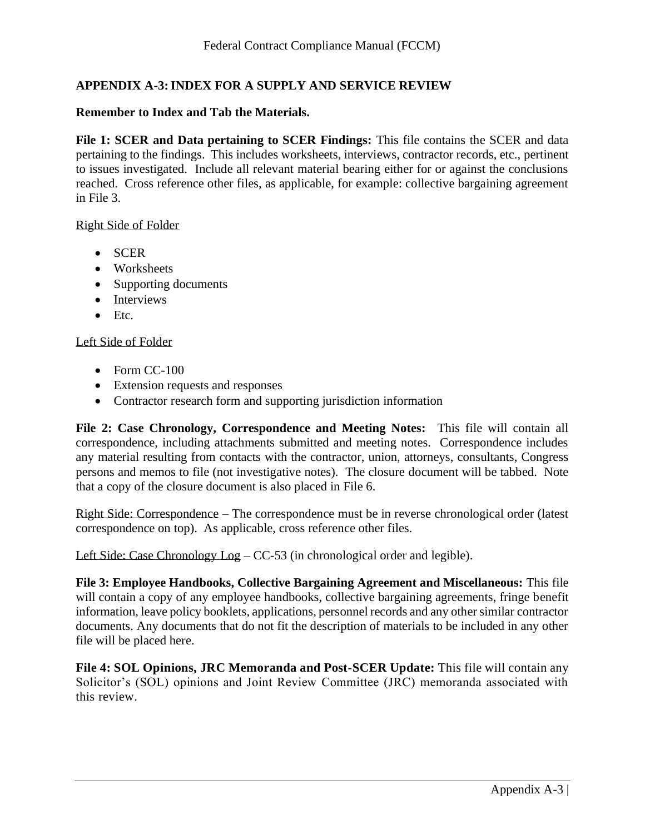## **APPENDIX A-3:INDEX FOR A SUPPLY AND SERVICE REVIEW**

## **Remember to Index and Tab the Materials.**

**File 1: SCER and Data pertaining to SCER Findings:** This file contains the SCER and data pertaining to the findings. This includes worksheets, interviews, contractor records, etc., pertinent to issues investigated. Include all relevant material bearing either for or against the conclusions reached. Cross reference other files, as applicable, for example: collective bargaining agreement in File 3.

## Right Side of Folder

- SCER
- Worksheets
- Supporting documents
- Interviews
- Etc.

## Left Side of Folder

- Form CC-100
- Extension requests and responses
- Contractor research form and supporting jurisdiction information

**File 2: Case Chronology, Correspondence and Meeting Notes:** This file will contain all correspondence, including attachments submitted and meeting notes. Correspondence includes any material resulting from contacts with the contractor, union, attorneys, consultants, Congress persons and memos to file (not investigative notes). The closure document will be tabbed. Note that a copy of the closure document is also placed in File 6.

Right Side: Correspondence – The correspondence must be in reverse chronological order (latest correspondence on top). As applicable, cross reference other files.

Left Side: Case Chronology Log – CC-53 (in chronological order and legible).

**File 3: Employee Handbooks, Collective Bargaining Agreement and Miscellaneous:** This file will contain a copy of any employee handbooks, collective bargaining agreements, fringe benefit information, leave policy booklets, applications, personnel records and any other similar contractor documents. Any documents that do not fit the description of materials to be included in any other file will be placed here.

**File 4: SOL Opinions, JRC Memoranda and Post-SCER Update:** This file will contain any Solicitor's (SOL) opinions and Joint Review Committee (JRC) memoranda associated with this review.